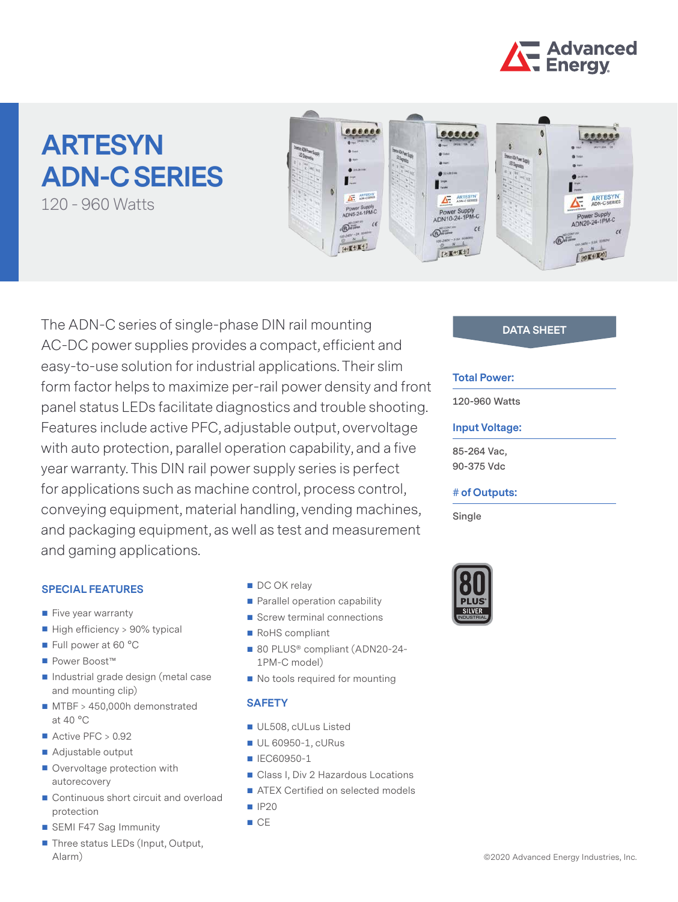

# **ARTESYN ADN-C SERIES**

120 - 960 Watts



The ADN-C series of single-phase DIN rail mounting **DATA SHEET** AC-DC power supplies provides a compact, efficient and easy-to-use solution for industrial applications. Their slim form factor helps to maximize per-rail power density and front panel status LEDs facilitate diagnostics and trouble shooting. Features include active PFC, adjustable output, overvoltage with auto protection, parallel operation capability, and a five year warranty. This DIN rail power supply series is perfect for applications such as machine control, process control, conveying equipment, material handling, vending machines, and packaging equipment, as well as test and measurement and gaming applications.

#### **SPECIAL FEATURES**

- Five year warranty
- High efficiency > 90% typical
- Full power at 60 °C
- Power Boost™
- Industrial grade design (metal case and mounting clip)
- **MTBF** > 450,000h demonstrated at 40 °C
- $\blacksquare$  Active PFC > 0.92
- Adjustable output
- Overvoltage protection with autorecovery
- Continuous short circuit and overload protection
- SEMI F47 Sag Immunity
- Three status LEDs (Input, Output, Alarm)
- DC OK relay
- **Parallel operation capability**
- Screw terminal connections
- RoHS compliant
- 80 PLUS® compliant (ADN20-24-1PM-C model)
- No tools required for mounting

#### **SAFETY**

- UL508, cULus Listed
- UL 60950-1, cURus
- IEC60950-1
- Class I, Div 2 Hazardous Locations
- ATEX Certified on selected models
- $IP20$
- $C<sub>E</sub>$

#### **Total Power:**

**120-960 Watts**

#### **Input Voltage:**

**85-264 Vac, 90-375 Vdc**

#### **# of Outputs:**

**Single**

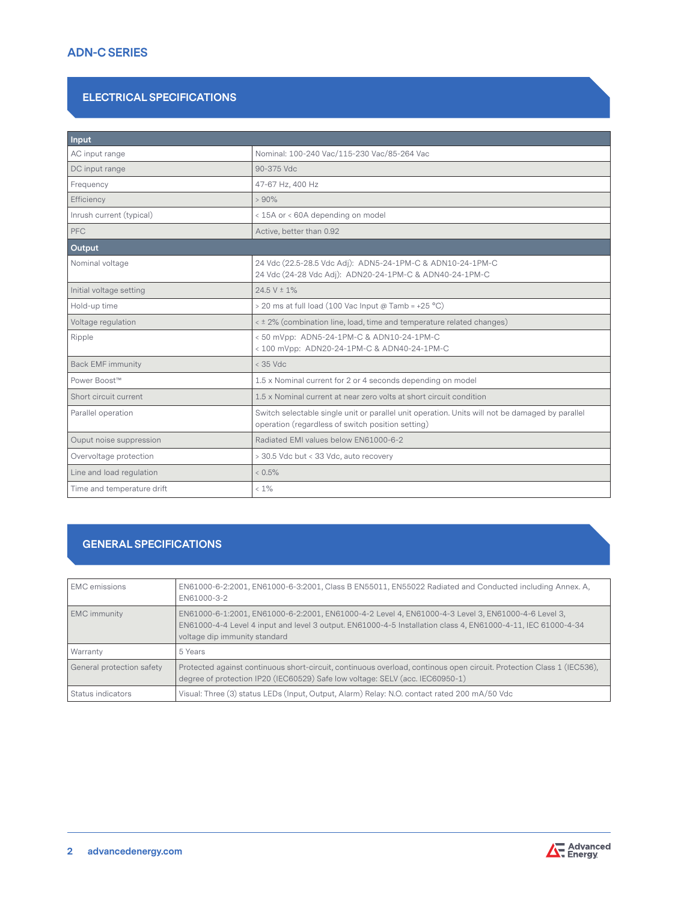# **ADN-C SERIES**

## **ELECTRICAL SPECIFICATIONS**

| Input                      |                                                                                                                                                      |
|----------------------------|------------------------------------------------------------------------------------------------------------------------------------------------------|
| AC input range             | Nominal: 100-240 Vac/115-230 Vac/85-264 Vac                                                                                                          |
| DC input range             | 90-375 Vdc                                                                                                                                           |
| Frequency                  | 47-67 Hz, 400 Hz                                                                                                                                     |
| Efficiency                 | >90%                                                                                                                                                 |
| Inrush current (typical)   | < 15A or < 60A depending on model                                                                                                                    |
| <b>PFC</b>                 | Active, better than 0.92                                                                                                                             |
| Output                     |                                                                                                                                                      |
| Nominal voltage            | 24 Vdc (22.5-28.5 Vdc Adj): ADN5-24-1PM-C & ADN10-24-1PM-C<br>24 Vdc (24-28 Vdc Adj): ADN20-24-1PM-C & ADN40-24-1PM-C                                |
| Initial voltage setting    | $24.5 V \pm 1\%$                                                                                                                                     |
| Hold-up time               | > 20 ms at full load (100 Vac Input @ Tamb = +25 °C)                                                                                                 |
| Voltage regulation         | < ± 2% (combination line, load, time and temperature related changes)                                                                                |
| Ripple                     | < 50 mVpp: ADN5-24-1PM-C & ADN10-24-1PM-C<br>< 100 mVpp: ADN20-24-1PM-C & ADN40-24-1PM-C                                                             |
| <b>Back EMF immunity</b>   | $<$ 35 Vdc                                                                                                                                           |
| Power Boost™               | 1.5 x Nominal current for 2 or 4 seconds depending on model                                                                                          |
| Short circuit current      | 1.5 x Nominal current at near zero volts at short circuit condition                                                                                  |
| Parallel operation         | Switch selectable single unit or parallel unit operation. Units will not be damaged by parallel<br>operation (regardless of switch position setting) |
| Ouput noise suppression    | Radiated EMI values below EN61000-6-2                                                                                                                |
| Overvoltage protection     | > 30.5 Vdc but < 33 Vdc, auto recovery                                                                                                               |
| Line and load regulation   | $< 0.5\%$                                                                                                                                            |
| Time and temperature drift | $< 1\%$                                                                                                                                              |

# **GENERAL SPECIFICATIONS**

| <b>EMC</b> emissions      | EN61000-6-2:2001, EN61000-6-3:2001, Class B EN55011, EN55022 Radiated and Conducted including Annex. A,<br>EN61000-3-2                                                                                                                              |
|---------------------------|-----------------------------------------------------------------------------------------------------------------------------------------------------------------------------------------------------------------------------------------------------|
| EMC immunity              | EN61000-6-1:2001, EN61000-6-2:2001, EN61000-4-2 Level 4, EN61000-4-3 Level 3, EN61000-4-6 Level 3,<br>EN61000-4-4 Level 4 input and level 3 output. EN61000-4-5 Installation class 4, EN61000-4-11, IEC 61000-4-34<br>voltage dip immunity standard |
| Warranty                  | 5 Years                                                                                                                                                                                                                                             |
| General protection safety | Protected against continuous short-circuit, continuous overload, continous open circuit. Protection Class 1 (IEC536),<br>degree of protection IP20 (IEC60529) Safe low voltage: SELV (acc. IEC60950-1)                                              |
| Status indicators         | Visual: Three (3) status LEDs (Input, Output, Alarm) Relay: N.O. contact rated 200 mA/50 Vdc                                                                                                                                                        |

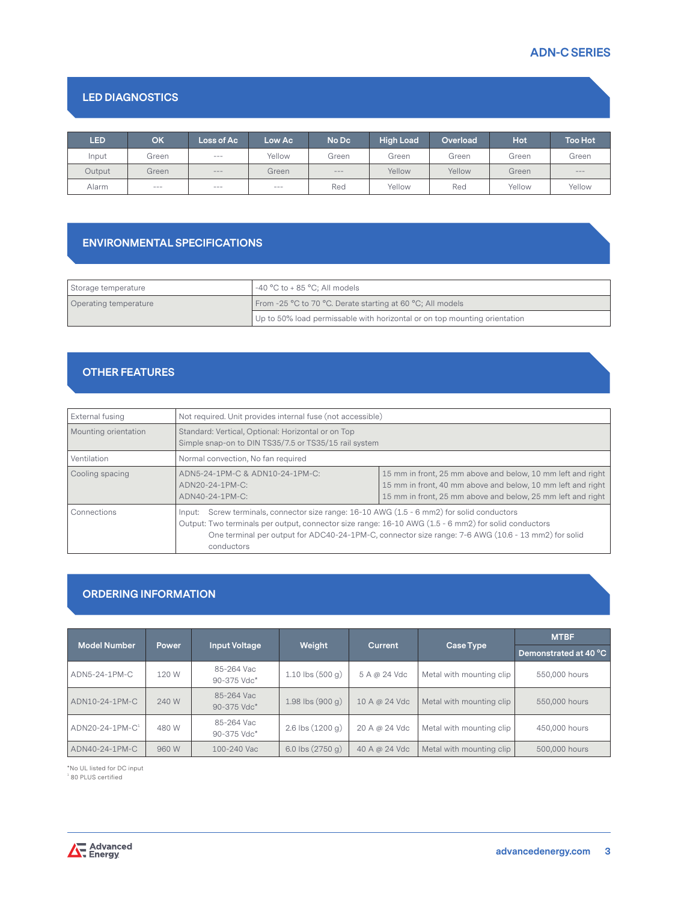# **ADN-C SERIES**

# **LED DIAGNOSTICS**

| <b>LED</b> | OK            | Loss of Ac | Low Ac    | No Dc   | <b>High Load</b> | Overload | Hot <sup>'</sup> | <b>Too Hot</b> |
|------------|---------------|------------|-----------|---------|------------------|----------|------------------|----------------|
| Input      | Green         | $---$      | Yellow    | Green   | Green            | Green    | Green            | Green          |
| Output     | Green         | $\cdots$   | Green     | $- - -$ | Yellow           | Yellow   | Green            | $---$          |
| Alarm      | $\frac{1}{2}$ | $- - -$    | $- - - -$ | Red     | Yellow           | Red      | Yellow           | Yellow         |

# **ENVIRONMENTAL SPECIFICATIONS**

| Storage temperature   | $-40 °C$ to + 85 °C; All models                                           |
|-----------------------|---------------------------------------------------------------------------|
| Operating temperature | From -25 °C to 70 °C. Derate starting at 60 °C; All models                |
|                       | Up to 50% load permissable with horizontal or on top mounting orientation |

# **OTHER FEATURES**

| External fusing      | Not required. Unit provides internal fuse (not accessible)                                                                                                                                                                                                                                                              |                                                                                                                                                                                           |  |  |
|----------------------|-------------------------------------------------------------------------------------------------------------------------------------------------------------------------------------------------------------------------------------------------------------------------------------------------------------------------|-------------------------------------------------------------------------------------------------------------------------------------------------------------------------------------------|--|--|
| Mounting orientation | Standard: Vertical, Optional: Horizontal or on Top<br>Simple snap-on to DIN TS35/7.5 or TS35/15 rail system                                                                                                                                                                                                             |                                                                                                                                                                                           |  |  |
| Ventilation          | Normal convection, No fan required                                                                                                                                                                                                                                                                                      |                                                                                                                                                                                           |  |  |
| Cooling spacing      | ADN5-24-1PM-C & ADN10-24-1PM-C:<br>ADN20-24-1PM-C:<br>ADN40-24-1PM-C:                                                                                                                                                                                                                                                   | 15 mm in front, 25 mm above and below, 10 mm left and right<br>15 mm in front, 40 mm above and below, 10 mm left and right<br>15 mm in front, 25 mm above and below, 25 mm left and right |  |  |
| Connections          | Input: Screw terminals, connector size range: 16-10 AWG (1.5 - 6 mm2) for solid conductors<br>Output: Two terminals per output, connector size range: 16-10 AWG (1.5 - 6 mm2) for solid conductors<br>One terminal per output for ADC40-24-1PM-C, connector size range: 7-6 AWG (10.6 - 13 mm2) for solid<br>conductors |                                                                                                                                                                                           |  |  |

#### **ORDERING INFORMATION**

| <b>Model Number</b> | <b>Power</b> | <b>Input Voltage</b>      | Weight              | <b>Current</b>       | Case Type                | <b>MTBF</b><br>Demonstrated at 40 °C |
|---------------------|--------------|---------------------------|---------------------|----------------------|--------------------------|--------------------------------------|
| ADN5-24-1PM-C       | 120 W        | 85-264 Vac<br>90-375 Vdc* | $1.10$ lbs $(500q)$ | 5 A @ 24 Vdc         | Metal with mounting clip | 550,000 hours                        |
| ADN10-24-1PM-C      | 240 W        | 85-264 Vac<br>90-375 Vdc* | $1.98$ lbs $(900q)$ | $10A \otimes 24$ Vdc | Metal with mounting clip | 550,000 hours                        |
| $ADN20-24-1PM-C1$   | 480 W        | 85-264 Vac<br>90-375 Vdc* | $2.6$ lbs $(1200q)$ | 20 A @ 24 Vdc        | Metal with mounting clip | 450,000 hours                        |
| ADN40-24-1PM-C      | 960 W        | 100-240 Vac               | 6.0 lbs $(2750 g)$  | 40 A @ 24 Vdc        | Metal with mounting clip | 500,000 hours                        |

\*No UL listed for DC input 1 80 PLUS certified

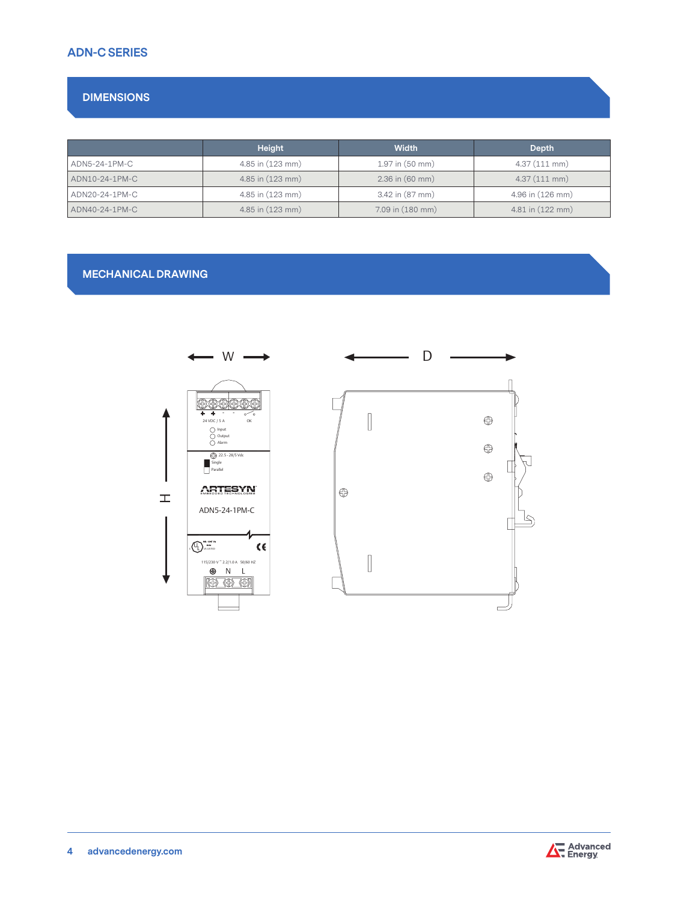# **ADN-C SERIES**

# **DIMENSIONS**

|                | <b>Height</b>        | <b>Width</b>        | Depth                |
|----------------|----------------------|---------------------|----------------------|
| ADN5-24-1PM-C  | 4.85 in (123 mm)     | $1.97$ in $(50$ mm) | $4.37(111$ mm)       |
| ADN10-24-1PM-C | $4.85$ in $(123$ mm) | $2.36$ in $(60$ mm) | $4.37(111$ mm)       |
| ADN20-24-1PM-C | 4.85 in (123 mm)     | 3.42 in (87 mm)     | 4.96 in (126 mm)     |
| ADN40-24-1PM-C | 4.85 in (123 mm)     | 7.09 in (180 mm)    | $4.81$ in $(122$ mm) |

## **MECHANICAL DRAWING**